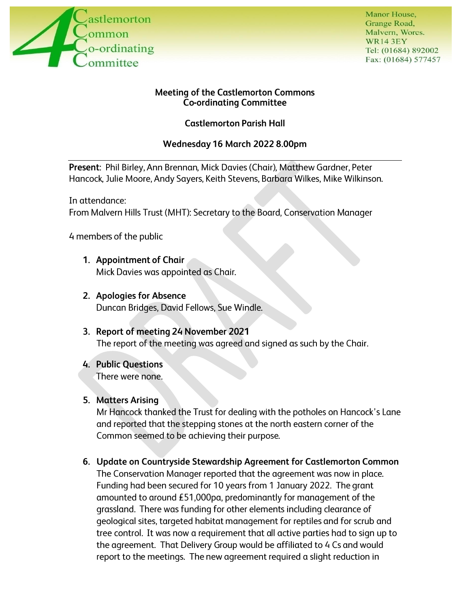

Manor House, Grange Road, Malvern, Worcs. WR14 3EY Tel: (01684) 892002 Fax: (01684) 577457

#### **Meeting of the Castlemorton Commons Co-ordinating Committee**

**Castlemorton Parish Hall** 

## **Wednesday 16 March 2022 8.00pm**

**Present:** Phil Birley, Ann Brennan, Mick Davies (Chair), Matthew Gardner, Peter Hancock, Julie Moore, Andy Sayers, Keith Stevens, Barbara Wilkes, Mike Wilkinson.

In attendance: From Malvern Hills Trust (MHT): Secretary to the Board, Conservation Manager

4 members of the public

- **1. Appointment of Chair**  Mick Davies was appointed as Chair.
- **2. Apologies for Absence**  Duncan Bridges, David Fellows, Sue Windle.
- **3. Report of meeting 24 November 2021**  The report of the meeting was agreed and signed as such by the Chair.
- **4. Public Questions**  There were none.

### **5. Matters Arising**

Mr Hancock thanked the Trust for dealing with the potholes on Hancock's Lane and reported that the stepping stones at the north eastern corner of the Common seemed to be achieving their purpose.

**6. Update on Countryside Stewardship Agreement for Castlemorton Common**  The Conservation Manager reported that the agreement was now in place. Funding had been secured for 10 years from 1 January 2022. The grant amounted to around  $£51,000$ pa, predominantly for management of the grassland. There was funding for other elements including clearance of geological sites, targeted habitat management for reptiles and for scrub and tree control. It was now a requirement that all active parties had to sign up to the agreement. That Delivery Group would be affiliated to 4 Cs and would report to the meetings. The new agreement required a slight reduction in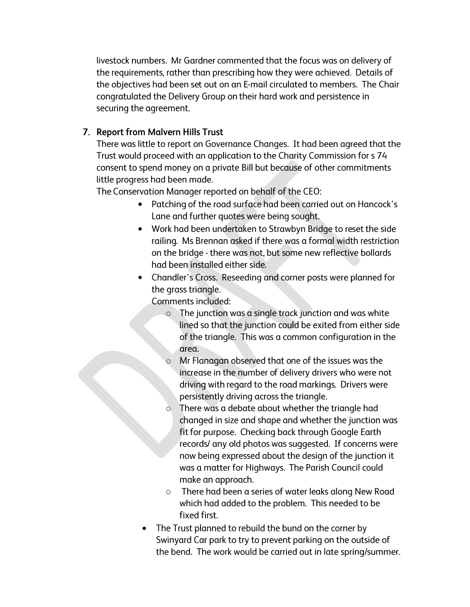livestock numbers. Mr Gardner commented that the focus was on delivery of the requirements, rather than prescribing how they were achieved. Details of the objectives had been set out on an E-mail circulated to members. The Chair congratulated the Delivery Group on their hard work and persistence in securing the agreement.

### **7. Report from Malvern Hills Trust**

There was little to report on Governance Changes. It had been agreed that the Trust would proceed with an application to the Charity Commission for s 74. consent to spend money on a private Bill but because of other commitments little progress had been made.

The Conservation Manager reported on behalf of the CEO:

- Patching of the road surface had been carried out on Hancock's Lane and further quotes were being sought.
- Work had been undertaken to Strawbyn Bridge to reset the side railing. Ms Brennan asked if there was a formal width restriction on the bridge - there was not, but some new reflective bollards had been installed either side.
- $\bullet$ Chandler's Cross. Reseeding and corner posts were planned for the grass triangle.

Comments included:

- o The junction was a single track junction and was white lined so that the junction could be exited from either side of the triangle. This was a common configuration in the area.
- o Mr Flanagan observed that one of the issues was the increase in the number of delivery drivers who were not driving with regard to the road markings. Drivers were persistently driving across the triangle.
- o There was a debate about whether the triangle had changed in size and shape and whether the junction was fit for purpose. Checking back through Google Earth records/ any old photos was suggested. If concerns were now being expressed about the design of the junction it was a matter for Highways. The Parish Council could make an approach.
- o There had been a series of water leaks along New Road which had added to the problem. This needed to be fixed first.
- $\bullet$ The Trust planned to rebuild the bund on the corner by Swinyard Car park to try to prevent parking on the outside of the bend. The work would be carried out in late spring/summer.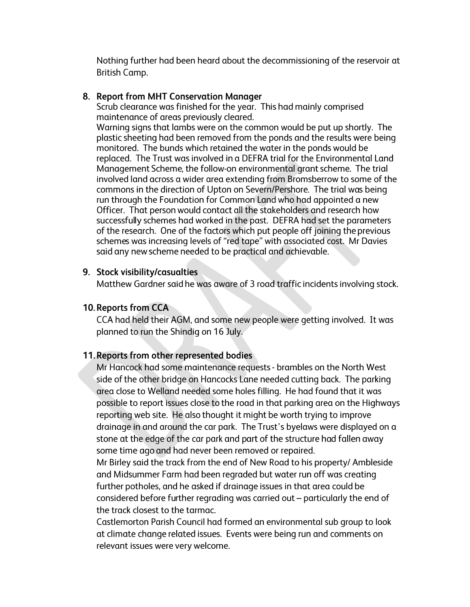Nothing further had been heard about the decommissioning of the reservoir at British Camp.

### **8. Report from MHT Conservation Manager**

Scrub clearance was finished for the year. This had mainly comprised maintenance of areas previously cleared.

Warning signs that lambs were on the common would be put up shortly. The plastic sheeting had been removed from the ponds and the results were being monitored. The bunds which retained the water in the ponds would be replaced. The Trust was involved in a DEFRA trial for the Environmental Land Management Scheme, the follow-on environmental grant scheme. The trial involved land across a wider area extending from Bromsberrow to some of the commons in the direction of Upton on Severn/Pershore. The trial was being run through the Foundation for Common Land who had appointed a new Officer. That person would contact all the stakeholders and research how successfully schemes had worked in the past. DEFRA had set the parameters of the research. One of the factors which put people off joining the previous schemes was increasing levels of "red tape" with associated cost. Mr Davies said any new scheme needed to be practical and achievable.

### **9. Stock visibility/casualties**

Matthew Gardner said he was aware of 3 road traffic incidents involving stock.

### **10. Reports from CCA**

CCA had held their AGM, and some new people were getting involved. It was planned to run the Shindig on 16 July.

### **11. Reports from other represented bodies**

Mr Hancock had some maintenance requests - brambles on the North West side of the other bridge on Hancocks Lane needed cutting back. The parking area close to Welland needed some holes filling. He had found that it was possible to report issues close to the road in that parking area on the Highways reporting web site. He also thought it might be worth trying to improve drainage in and around the car park. The Trust's byelaws were displayed on a stone at the edge of the car park and part of the structure had fallen away some time ago and had never been removed or repaired.

Mr Birley said the track from the end of New Road to his property/ Ambleside and Midsummer Farm had been regraded but water run off was creating further potholes, and he asked if drainage issues in that area could be considered before further regrading was carried out - particularly the end of the track closest to the tarmac.

Castlemorton Parish Council had formed an environmental sub group to look at climate change related issues. Events were being run and comments on relevant issues were very welcome.